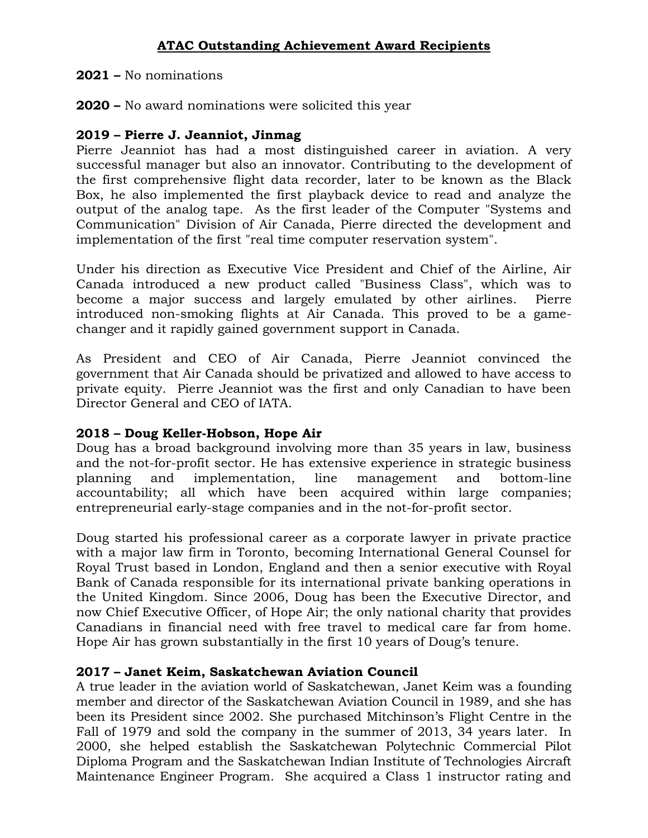**2021 –** No nominations

**2020 –** No award nominations were solicited this year

# **2019 – Pierre J. Jeanniot, Jinmag**

Pierre Jeanniot has had a most distinguished career in aviation. A very successful manager but also an innovator. Contributing to the development of the first comprehensive flight data recorder, later to be known as the Black Box, he also implemented the first playback device to read and analyze the output of the analog tape. As the first leader of the Computer "Systems and Communication" Division of Air Canada, Pierre directed the development and implementation of the first "real time computer reservation system".

Under his direction as Executive Vice President and Chief of the Airline, Air Canada introduced a new product called "Business Class", which was to become a major success and largely emulated by other airlines. Pierre introduced non-smoking flights at Air Canada. This proved to be a gamechanger and it rapidly gained government support in Canada.

As President and CEO of Air Canada, Pierre Jeanniot convinced the government that Air Canada should be privatized and allowed to have access to private equity. Pierre Jeanniot was the first and only Canadian to have been Director General and CEO of IATA.

# **2018 – Doug Keller-Hobson, Hope Air**

Doug has a broad background involving more than 35 years in law, business and the not-for-profit sector. He has extensive experience in strategic business planning and implementation, line management and bottom-line accountability; all which have been acquired within large companies; entrepreneurial early-stage companies and in the not-for-profit sector.

Doug started his professional career as a corporate lawyer in private practice with a major law firm in Toronto, becoming International General Counsel for Royal Trust based in London, England and then a senior executive with Royal Bank of Canada responsible for its international private banking operations in the United Kingdom. Since 2006, Doug has been the Executive Director, and now Chief Executive Officer, of Hope Air; the only national charity that provides Canadians in financial need with free travel to medical care far from home. Hope Air has grown substantially in the first 10 years of Doug's tenure.

# **2017 – Janet Keim, Saskatchewan Aviation Council**

A true leader in the aviation world of Saskatchewan, Janet Keim was a founding member and director of the Saskatchewan Aviation Council in 1989, and she has been its President since 2002. She purchased Mitchinson's Flight Centre in the Fall of 1979 and sold the company in the summer of 2013, 34 years later. In 2000, she helped establish the Saskatchewan Polytechnic Commercial Pilot Diploma Program and the Saskatchewan Indian Institute of Technologies Aircraft Maintenance Engineer Program. She acquired a Class 1 instructor rating and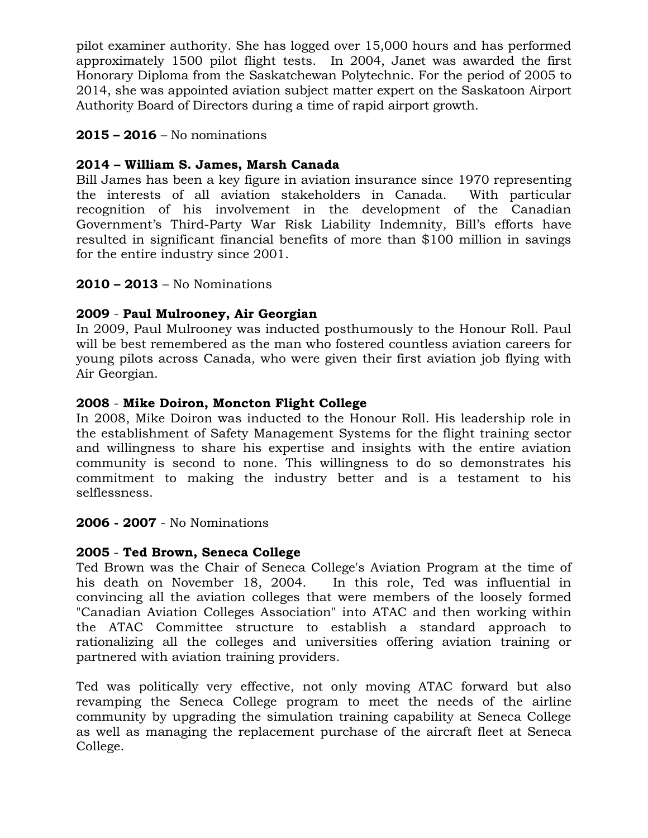pilot examiner authority. She has logged over 15,000 hours and has performed approximately 1500 pilot flight tests. In 2004, Janet was awarded the first Honorary Diploma from the Saskatchewan Polytechnic. For the period of 2005 to 2014, she was appointed aviation subject matter expert on the Saskatoon Airport Authority Board of Directors during a time of rapid airport growth.

## **2015 – 2016** – No nominations

# **2014 – William S. James, Marsh Canada**

Bill James has been a key figure in aviation insurance since 1970 representing the interests of all aviation stakeholders in Canada. With particular recognition of his involvement in the development of the Canadian Government's Third-Party War Risk Liability Indemnity, Bill's efforts have resulted in significant financial benefits of more than \$100 million in savings for the entire industry since 2001.

## **2010 – 2013** – No Nominations

# **2009** - **[Paul Mulrooney,](http://www.atac.ca/web/images/Documents/2009_Honour_Roll_Recipient.pdf) Air Georgian**

In 2009, Paul Mulrooney was inducted posthumously to the Honour Roll. Paul will be best remembered as the man who fostered countless aviation careers for young pilots across Canada, who were given their first aviation job flying with Air Georgian.

## **2008** - **[Mike Doiron, Moncton Flight College](http://www.atac.ca/web/images/Documents/2008_Honour_Roll_Recipient.pdf)**

In 2008, Mike Doiron was inducted to the Honour Roll. His leadership role in the establishment of Safety Management Systems for the flight training sector and willingness to share his expertise and insights with the entire aviation community is second to none. This willingness to do so demonstrates his commitment to making the industry better and is a testament to his selflessness.

## **2006 - 2007** - No Nominations

# **2005** - **[Ted Brown, Seneca College](http://www.atac.ca/web/images/Documents/2005_Honour_Roll_Recipient.pdf)**

Ted Brown was the Chair of Seneca College's Aviation Program at the time of his death on November 18, 2004. In this role, Ted was influential in convincing all the aviation colleges that were members of the loosely formed "Canadian Aviation Colleges Association" into ATAC and then working within the ATAC Committee structure to establish a standard approach to rationalizing all the colleges and universities offering aviation training or partnered with aviation training providers.

Ted was politically very effective, not only moving ATAC forward but also revamping the Seneca College program to meet the needs of the airline community by upgrading the simulation training capability at Seneca College as well as managing the replacement purchase of the aircraft fleet at Seneca College.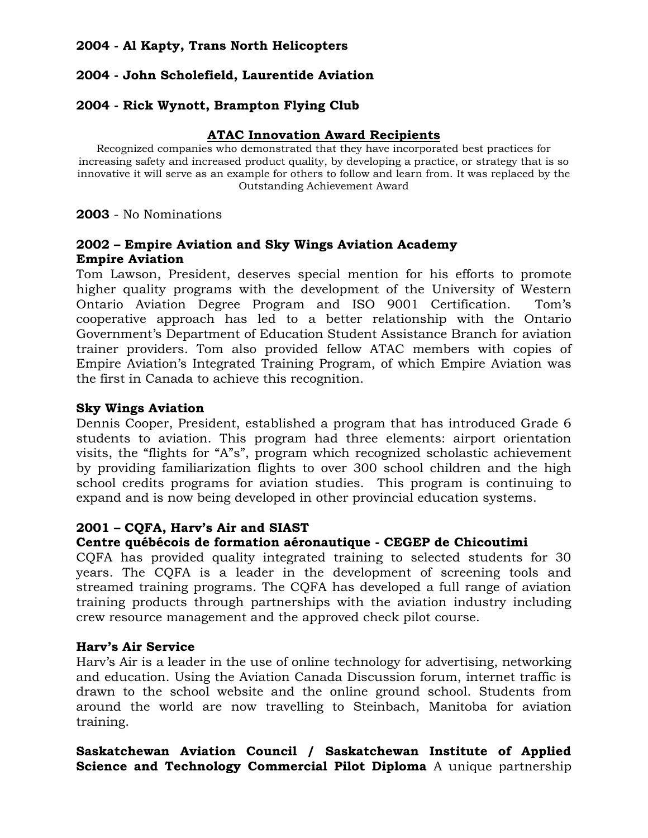# **2004 - Al Kapty, Trans North Helicopters**

# **2004 - John Scholefield, Laurentide Aviation**

## **2004 - Rick Wynott, Brampton Flying Club**

#### **ATAC Innovation Award Recipients**

Recognized companies who demonstrated that they have incorporated best practices for increasing safety and increased product quality, by developing a practice, or strategy that is so innovative it will serve as an example for others to follow and learn from. It was replaced by the Outstanding Achievement Award

**2003** - No Nominations

## **[2002](http://www.atac.ca/web/images/Documents/2002_Innovation_Award.pdf) – Empire Aviation and Sky Wings Aviation Academy Empire Aviation**

Tom Lawson, President, deserves special mention for his efforts to promote higher quality programs with the development of the University of Western Ontario Aviation Degree Program and ISO 9001 Certification. Tom's cooperative approach has led to a better relationship with the Ontario Government's Department of Education Student Assistance Branch for aviation trainer providers. Tom also provided fellow ATAC members with copies of Empire Aviation's Integrated Training Program, of which Empire Aviation was the first in Canada to achieve this recognition.

#### **Sky Wings Aviation**

Dennis Cooper, President, established a program that has introduced Grade 6 students to aviation. This program had three elements: airport orientation visits, the "flights for "A"s", program which recognized scholastic achievement by providing familiarization flights to over 300 school children and the high school credits programs for aviation studies. This program is continuing to expand and is now being developed in other provincial education systems.

## **[2001](http://www.atac.ca/web/images/Documents/2001_Innovation_Award.pdf) – CQFA, Harv's Air and SIAST**

## **Centre québécois de formation aéronautique - CEGEP de Chicoutimi**

CQFA has provided quality integrated training to selected students for 30 years. The CQFA is a leader in the development of screening tools and streamed training programs. The CQFA has developed a full range of aviation training products through partnerships with the aviation industry including crew resource management and the approved check pilot course.

#### **Harv's Air Service**

Harv's Air is a leader in the use of online technology for advertising, networking and education. Using the Aviation Canada Discussion forum, internet traffic is drawn to the school website and the online ground school. Students from around the world are now travelling to Steinbach, Manitoba for aviation training.

**Saskatchewan Aviation Council / Saskatchewan Institute of Applied Science and Technology Commercial Pilot Diploma** A unique partnership